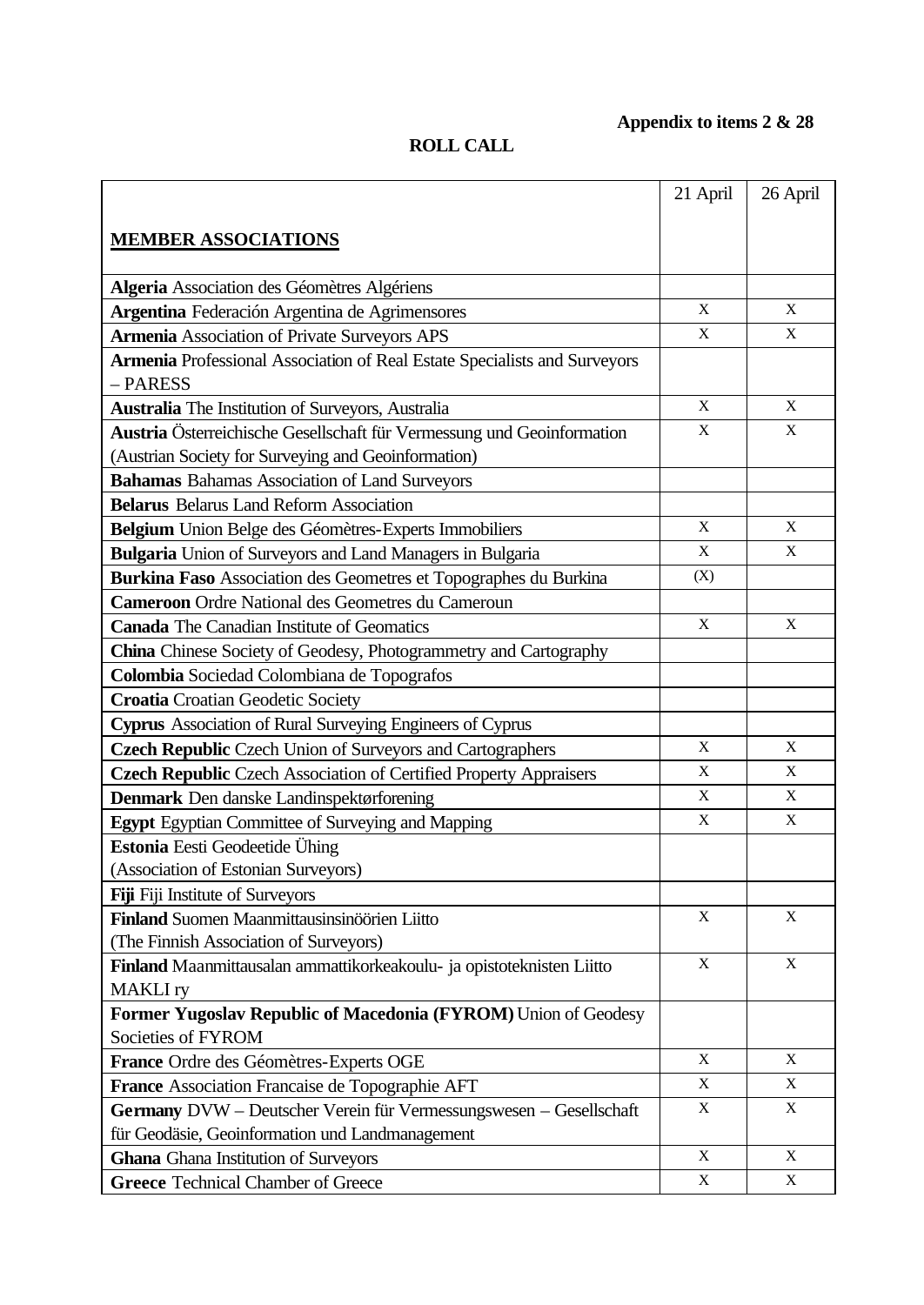## **Appendix to items 2 & 28**

## **ROLL CALL**

|                                                                                       | 21 April    | 26 April    |
|---------------------------------------------------------------------------------------|-------------|-------------|
|                                                                                       |             |             |
| <b>MEMBER ASSOCIATIONS</b>                                                            |             |             |
|                                                                                       |             |             |
| Algeria Association des Géomètres Algériens                                           |             |             |
| Argentina Federación Argentina de Agrimensores                                        | X           | X           |
| <b>Armenia Association of Private Surveyors APS</b>                                   | $\mathbf X$ | $\mathbf X$ |
| Armenia Professional Association of Real Estate Specialists and Surveyors<br>- PARESS |             |             |
| <b>Australia</b> The Institution of Surveyors, Australia                              | $\mathbf X$ | $\mathbf X$ |
| Austria Österreichische Gesellschaft für Vermessung und Geoinformation                | X           | X           |
| (Austrian Society for Surveying and Geoinformation)                                   |             |             |
| <b>Bahamas Bahamas Association of Land Surveyors</b>                                  |             |             |
| <b>Belarus Belarus Land Reform Association</b>                                        |             |             |
| Belgium Union Belge des Géomètres-Experts Immobiliers                                 | $\mathbf X$ | $\mathbf X$ |
| <b>Bulgaria</b> Union of Surveyors and Land Managers in Bulgaria                      | X           | X           |
| Burkina Faso Association des Geometres et Topographes du Burkina                      | (X)         |             |
| <b>Cameroon</b> Ordre National des Geometres du Cameroun                              |             |             |
| <b>Canada</b> The Canadian Institute of Geomatics                                     | $\mathbf X$ | X           |
| <b>China</b> Chinese Society of Geodesy, Photogrammetry and Cartography               |             |             |
| Colombia Sociedad Colombiana de Topografos                                            |             |             |
| <b>Croatia</b> Croatian Geodetic Society                                              |             |             |
| <b>Cyprus</b> Association of Rural Surveying Engineers of Cyprus                      |             |             |
| <b>Czech Republic Czech Union of Surveyors and Cartographers</b>                      | X           | X           |
| Czech Republic Czech Association of Certified Property Appraisers                     | $\mathbf X$ | $\mathbf X$ |
| Denmark Den danske Landinspektørforening                                              | $\mathbf X$ | $\mathbf X$ |
| <b>Egypt</b> Egyptian Committee of Surveying and Mapping                              | $\mathbf X$ | $\mathbf X$ |
| Estonia Eesti Geodeetide Ühing                                                        |             |             |
| (Association of Estonian Surveyors)                                                   |             |             |
| <b>Fiji</b> Fiji Institute of Surveyors                                               |             |             |
| Finland Suomen Maanmittausinsinöörien Liitto                                          | X           | X           |
| (The Finnish Association of Surveyors)                                                |             |             |
| Finland Maanmittausalan ammattikorkeakoulu- ja opistoteknisten Liitto                 | $\mathbf X$ | $\mathbf X$ |
| <b>MAKLI</b> ry                                                                       |             |             |
| Former Yugoslav Republic of Macedonia (FYROM) Union of Geodesy                        |             |             |
| Societies of FYROM                                                                    |             |             |
| France Ordre des Géomètres-Experts OGE                                                | $\mathbf X$ | $\mathbf X$ |
| France Association Francaise de Topographie AFT                                       | $\mathbf X$ | X           |
| Germany DVW - Deutscher Verein für Vermessungswesen - Gesellschaft                    | $\mathbf X$ | X           |
| für Geodäsie, Geoinformation und Landmanagement                                       |             |             |
| <b>Ghana</b> Ghana Institution of Surveyors                                           | $\mathbf X$ | X           |
| <b>Greece Technical Chamber of Greece</b>                                             | $\mathbf X$ | $\mathbf X$ |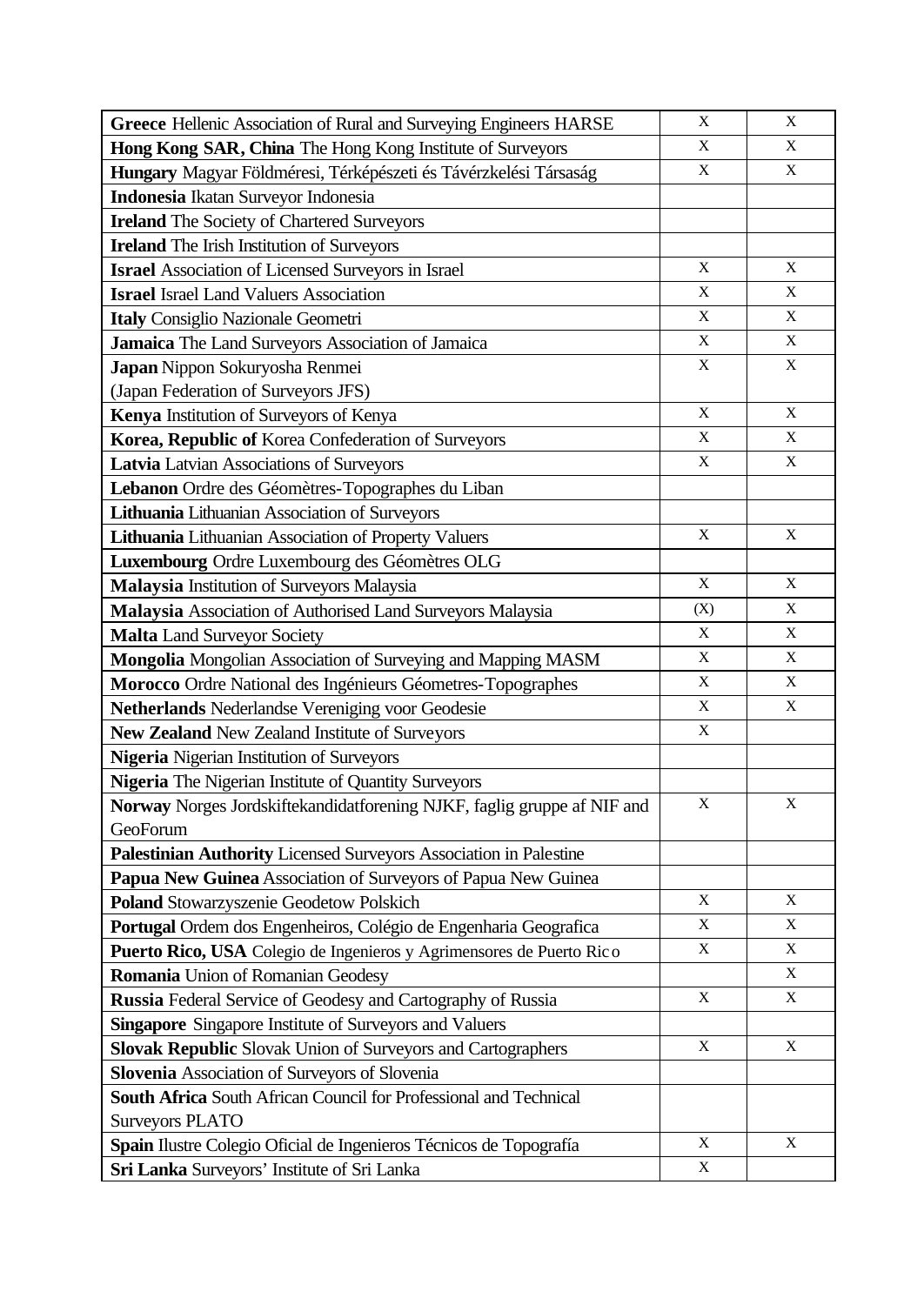| Greece Hellenic Association of Rural and Surveying Engineers HARSE       | X                         | X           |
|--------------------------------------------------------------------------|---------------------------|-------------|
| Hong Kong SAR, China The Hong Kong Institute of Surveyors                | $\mathbf X$               | X           |
| Hungary Magyar Földméresi, Térképészeti és Távérzkelési Társaság         | $\mathbf X$               | $\mathbf X$ |
| Indonesia Ikatan Surveyor Indonesia                                      |                           |             |
| <b>Ireland</b> The Society of Chartered Surveyors                        |                           |             |
| <b>Ireland</b> The Irish Institution of Surveyors                        |                           |             |
| <b>Israel</b> Association of Licensed Surveyors in Israel                | $\mathbf X$               | X           |
| <b>Israel Israel Land Valuers Association</b>                            | $\mathbf X$               | X           |
| Italy Consiglio Nazionale Geometri                                       | $\mathbf X$               | $\mathbf X$ |
| Jamaica The Land Surveyors Association of Jamaica                        | $\mathbf X$               | $\mathbf X$ |
| Japan Nippon Sokuryosha Renmei                                           | X                         | X           |
| (Japan Federation of Surveyors JFS)                                      |                           |             |
| Kenya Institution of Surveyors of Kenya                                  | $\mathbf X$               | $\mathbf X$ |
| Korea, Republic of Korea Confederation of Surveyors                      | X                         | X           |
| Latvia Latvian Associations of Surveyors                                 | $\mathbf X$               | X           |
| Lebanon Ordre des Géomètres-Topographes du Liban                         |                           |             |
| Lithuania Lithuanian Association of Surveyors                            |                           |             |
| Lithuania Lithuanian Association of Property Valuers                     | $\mathbf X$               | $\mathbf X$ |
| Luxembourg Ordre Luxembourg des Géomètres OLG                            |                           |             |
| Malaysia Institution of Surveyors Malaysia                               | $\mathbf X$               | $\mathbf X$ |
| Malaysia Association of Authorised Land Surveyors Malaysia               | (X)                       | X           |
| <b>Malta Land Surveyor Society</b>                                       | X                         | X           |
| Mongolia Mongolian Association of Surveying and Mapping MASM             | $\mathbf X$               | $\mathbf X$ |
| Morocco Ordre National des Ingénieurs Géometres-Topographes              | $\mathbf X$               | X           |
| Netherlands Nederlandse Vereniging voor Geodesie                         | $\mathbf X$               | X           |
| New Zealand New Zealand Institute of Surveyors                           | $\mathbf X$               |             |
| Nigeria Nigerian Institution of Surveyors                                |                           |             |
| Nigeria The Nigerian Institute of Quantity Surveyors                     |                           |             |
| Norway Norges Jordskiftekandidatforening NJKF, faglig gruppe af NIF and  | $\mathbf X$               | X           |
| GeoForum                                                                 |                           |             |
| Palestinian Authority Licensed Surveyors Association in Palestine        |                           |             |
| Papua New Guinea Association of Surveyors of Papua New Guinea            |                           |             |
| <b>Poland Stowarzyszenie Geodetow Polskich</b>                           | $\mathbf X$               | X           |
| Portugal Ordem dos Engenheiros, Colégio de Engenharia Geografica         | $\mathbf X$               | X           |
| Puerto Rico, USA Colegio de Ingenieros y Agrimensores de Puerto Rico     | $\boldsymbol{\mathrm{X}}$ | X           |
| Romania Union of Romanian Geodesy                                        |                           | $\mathbf X$ |
| Russia Federal Service of Geodesy and Cartography of Russia              | X                         | X           |
| <b>Singapore</b> Singapore Institute of Surveyors and Valuers            |                           |             |
| <b>Slovak Republic Slovak Union of Surveyors and Cartographers</b>       | X                         | $\mathbf X$ |
| Slovenia Association of Surveyors of Slovenia                            |                           |             |
| <b>South Africa</b> South African Council for Professional and Technical |                           |             |
| <b>Surveyors PLATO</b>                                                   |                           |             |
| Spain Ilustre Colegio Oficial de Ingenieros Técnicos de Topografía       | $\mathbf X$               | X           |
| Sri Lanka Surveyors' Institute of Sri Lanka                              | $\boldsymbol{\mathrm{X}}$ |             |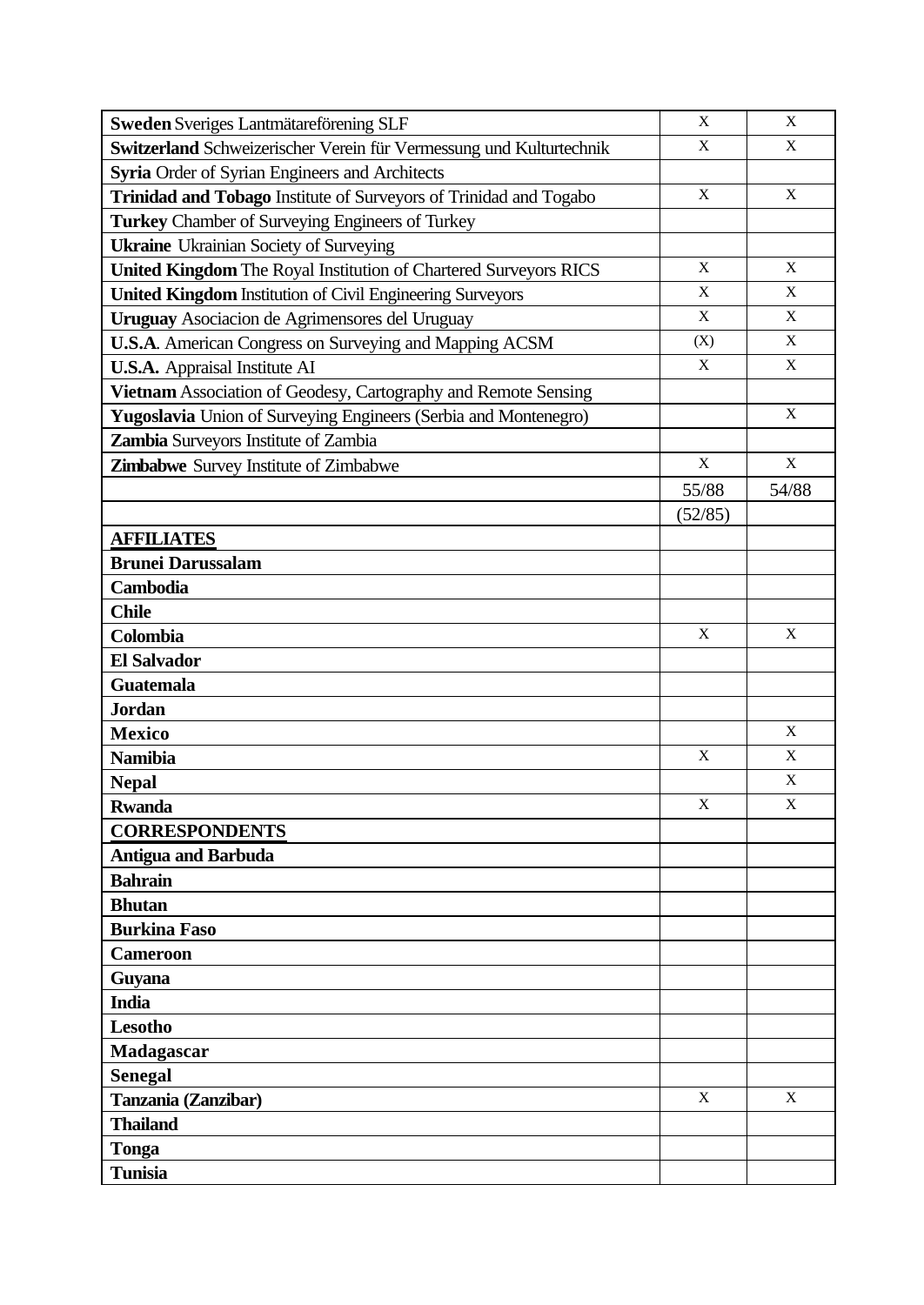| Sweden Sveriges Lantmätareförening SLF                              | $\mathbf X$ | $\mathbf X$ |
|---------------------------------------------------------------------|-------------|-------------|
| Switzerland Schweizerischer Verein für Vermessung und Kulturtechnik | X           | $\mathbf X$ |
| Syria Order of Syrian Engineers and Architects                      |             |             |
| Trinidad and Tobago Institute of Surveyors of Trinidad and Togabo   | $\mathbf X$ | X           |
| <b>Turkey</b> Chamber of Surveying Engineers of Turkey              |             |             |
| <b>Ukraine</b> Ukrainian Society of Surveying                       |             |             |
| United Kingdom The Royal Institution of Chartered Surveyors RICS    | $\mathbf X$ | X           |
| <b>United Kingdom Institution of Civil Engineering Surveyors</b>    | X           | $\mathbf X$ |
| Uruguay Asociacion de Agrimensores del Uruguay                      | $\mathbf X$ | X           |
| U.S.A. American Congress on Surveying and Mapping ACSM              | (X)         | $\mathbf X$ |
| <b>U.S.A.</b> Appraisal Institute AI                                | $\mathbf X$ | X           |
| Vietnam Association of Geodesy, Cartography and Remote Sensing      |             |             |
| Yugoslavia Union of Surveying Engineers (Serbia and Montenegro)     |             | X           |
| Zambia Surveyors Institute of Zambia                                |             |             |
| Zimbabwe Survey Institute of Zimbabwe                               | $\mathbf X$ | $\mathbf X$ |
|                                                                     | 55/88       | 54/88       |
|                                                                     | (52/85)     |             |
| <b>AFFILIATES</b>                                                   |             |             |
| <b>Brunei Darussalam</b>                                            |             |             |
| Cambodia                                                            |             |             |
| <b>Chile</b>                                                        |             |             |
| Colombia                                                            | $\mathbf X$ | $\mathbf X$ |
| <b>El Salvador</b>                                                  |             |             |
| <b>Guatemala</b>                                                    |             |             |
| <b>Jordan</b>                                                       |             |             |
| <b>Mexico</b>                                                       |             | X           |
| <b>Namibia</b>                                                      | $\mathbf X$ | $\mathbf X$ |
| <b>Nepal</b>                                                        |             | X           |
| <b>Rwanda</b>                                                       | $\mathbf X$ | $\mathbf X$ |
| <b>CORRESPONDENTS</b>                                               |             |             |
| <b>Antigua and Barbuda</b>                                          |             |             |
| <b>Bahrain</b>                                                      |             |             |
| <b>Bhutan</b>                                                       |             |             |
| <b>Burkina Faso</b>                                                 |             |             |
| <b>Cameroon</b>                                                     |             |             |
| Guyana                                                              |             |             |
| <b>India</b>                                                        |             |             |
| <b>Lesotho</b>                                                      |             |             |
| Madagascar                                                          |             |             |
| <b>Senegal</b>                                                      |             |             |
| Tanzania (Zanzibar)                                                 | X           | X           |
| <b>Thailand</b>                                                     |             |             |
| <b>Tonga</b>                                                        |             |             |
| <b>Tunisia</b>                                                      |             |             |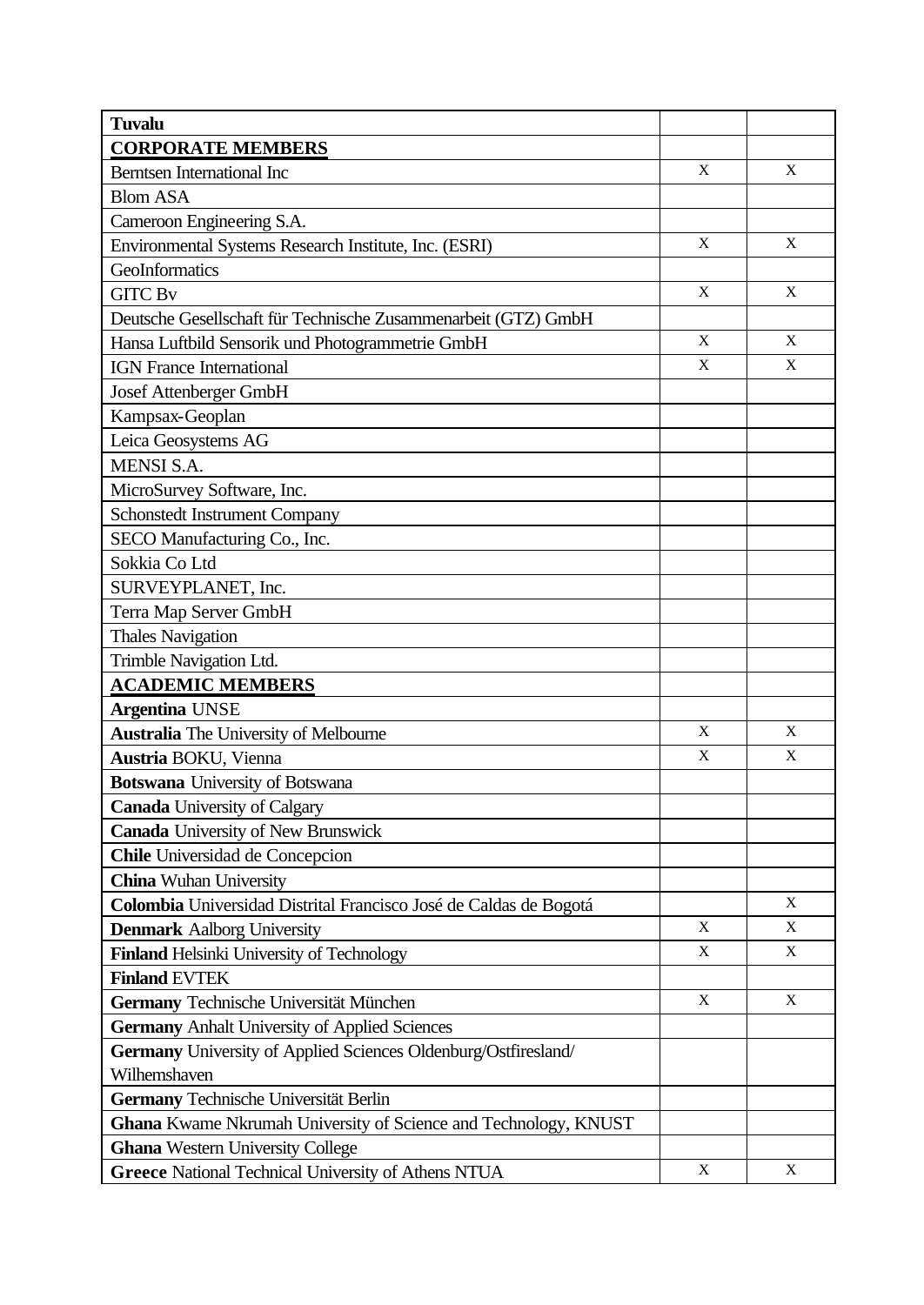| <b>Tuvalu</b>                                                          |             |             |
|------------------------------------------------------------------------|-------------|-------------|
| <b>CORPORATE MEMBERS</b>                                               |             |             |
| <b>Berntsen International Inc</b>                                      | $\mathbf X$ | $\mathbf X$ |
| <b>Blom ASA</b>                                                        |             |             |
| Cameroon Engineering S.A.                                              |             |             |
| Environmental Systems Research Institute, Inc. (ESRI)                  | $\mathbf X$ | $\mathbf X$ |
| GeoInformatics                                                         |             |             |
| <b>GITC Bv</b>                                                         | $\mathbf X$ | X           |
| Deutsche Gesellschaft für Technische Zusammenarbeit (GTZ) GmbH         |             |             |
| Hansa Luftbild Sensorik und Photogrammetrie GmbH                       | $\mathbf X$ | $\mathbf X$ |
| <b>IGN</b> France International                                        | $\mathbf X$ | $\mathbf X$ |
| <b>Josef Attenberger GmbH</b>                                          |             |             |
| Kampsax-Geoplan                                                        |             |             |
| Leica Geosystems AG                                                    |             |             |
| <b>MENSI S.A.</b>                                                      |             |             |
| MicroSurvey Software, Inc.                                             |             |             |
| <b>Schonstedt Instrument Company</b>                                   |             |             |
| SECO Manufacturing Co., Inc.                                           |             |             |
| Sokkia Co Ltd                                                          |             |             |
| SURVEYPLANET, Inc.                                                     |             |             |
| Terra Map Server GmbH                                                  |             |             |
| <b>Thales Navigation</b>                                               |             |             |
| Trimble Navigation Ltd.                                                |             |             |
| <b>ACADEMIC MEMBERS</b>                                                |             |             |
| <b>Argentina UNSE</b>                                                  |             |             |
| <b>Australia</b> The University of Melbourne                           | X           | X           |
| Austria BOKU, Vienna                                                   | X           | X           |
| <b>Botswana</b> University of Botswana                                 |             |             |
| <b>Canada University of Calgary</b>                                    |             |             |
| <b>Canada University of New Brunswick</b>                              |             |             |
| <b>Chile</b> Universidad de Concepcion                                 |             |             |
| <b>China</b> Wuhan University                                          |             |             |
| Colombia Universidad Distrital Francisco José de Caldas de Bogotá      |             | X           |
| <b>Denmark Aalborg University</b>                                      | X           | $\mathbf X$ |
| Finland Helsinki University of Technology                              | $\mathbf X$ | $\mathbf X$ |
| <b>Finland EVTEK</b>                                                   |             |             |
| Germany Technische Universität München                                 | $\mathbf X$ | $\mathbf X$ |
| <b>Germany Anhalt University of Applied Sciences</b>                   |             |             |
| Germany University of Applied Sciences Oldenburg/Ostfiresland/         |             |             |
| Wilhemshaven                                                           |             |             |
| Germany Technische Universität Berlin                                  |             |             |
| <b>Ghana</b> Kwame Nkrumah University of Science and Technology, KNUST |             |             |
| <b>Ghana Western University College</b>                                |             |             |
| <b>Greece National Technical University of Athens NTUA</b>             | X           | $\mathbf X$ |